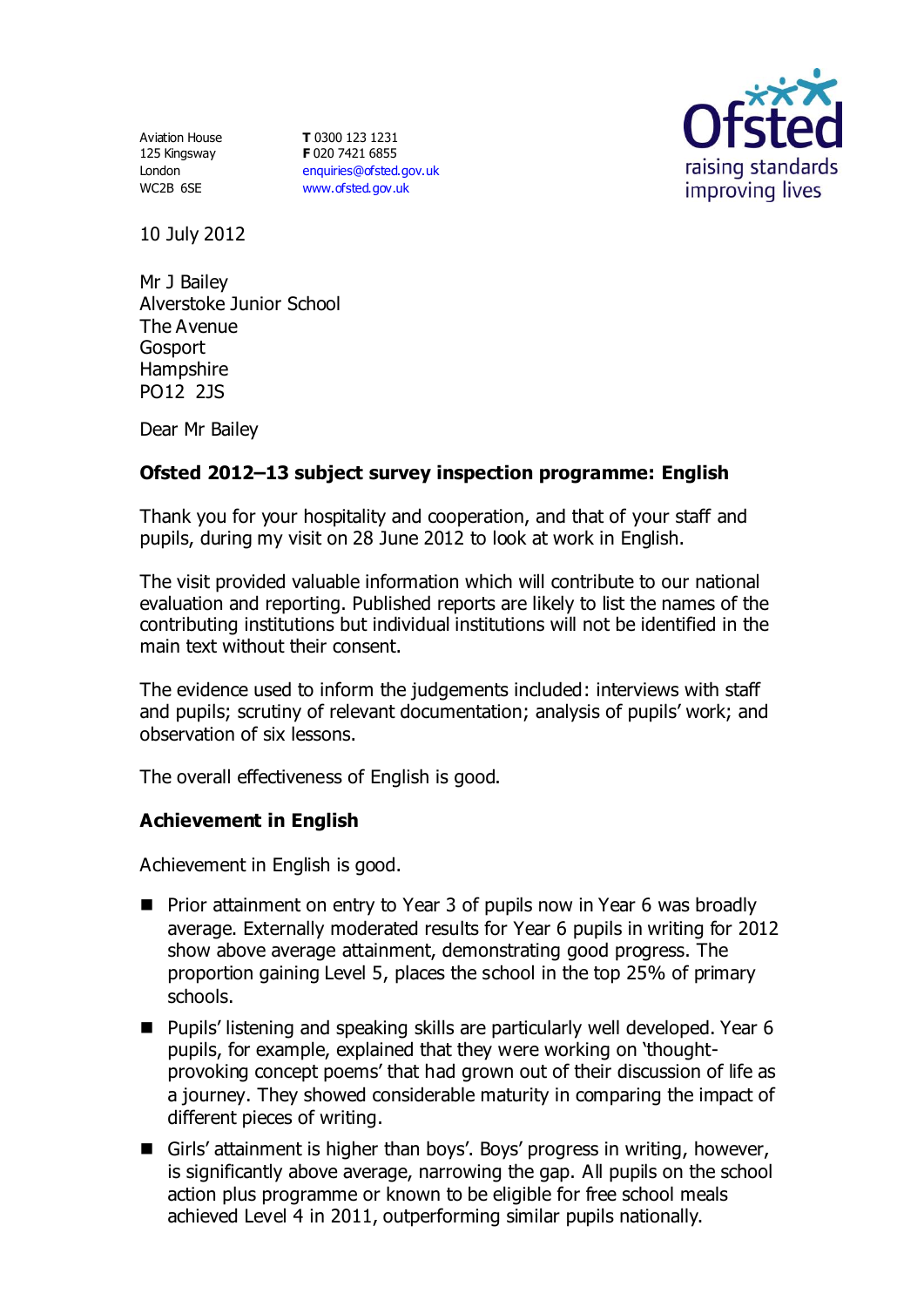Aviation House 125 Kingsway London WC2B 6SE

**T** 0300 123 1231 **F** 020 7421 6855 [enquiries@ofsted.gov.uk](mailto:enquiries@ofsted.gov.uk) [www.ofsted.gov.uk](http://www.ofsted.gov.uk/)



10 July 2012

Mr J Bailey Alverstoke Junior School The Avenue Gosport Hampshire PO12 2JS

Dear Mr Bailey

# **Ofsted 2012–13 subject survey inspection programme: English**

Thank you for your hospitality and cooperation, and that of your staff and pupils, during my visit on 28 June 2012 to look at work in English.

The visit provided valuable information which will contribute to our national evaluation and reporting. Published reports are likely to list the names of the contributing institutions but individual institutions will not be identified in the main text without their consent.

The evidence used to inform the judgements included: interviews with staff and pupils; scrutiny of relevant documentation; analysis of pupils' work; and observation of six lessons.

The overall effectiveness of English is good.

### **Achievement in English**

Achievement in English is good.

- $\blacksquare$  Prior attainment on entry to Year 3 of pupils now in Year 6 was broadly average. Externally moderated results for Year 6 pupils in writing for 2012 show above average attainment, demonstrating good progress. The proportion gaining Level 5, places the school in the top 25% of primary schools.
- Pupils' listening and speaking skills are particularly well developed. Year 6 pupils, for example, explained that they were working on 'thoughtprovoking concept poems' that had grown out of their discussion of life as a journey. They showed considerable maturity in comparing the impact of different pieces of writing.
- Girls' attainment is higher than boys'. Boys' progress in writing, however, is significantly above average, narrowing the gap. All pupils on the school action plus programme or known to be eligible for free school meals achieved Level 4 in 2011, outperforming similar pupils nationally.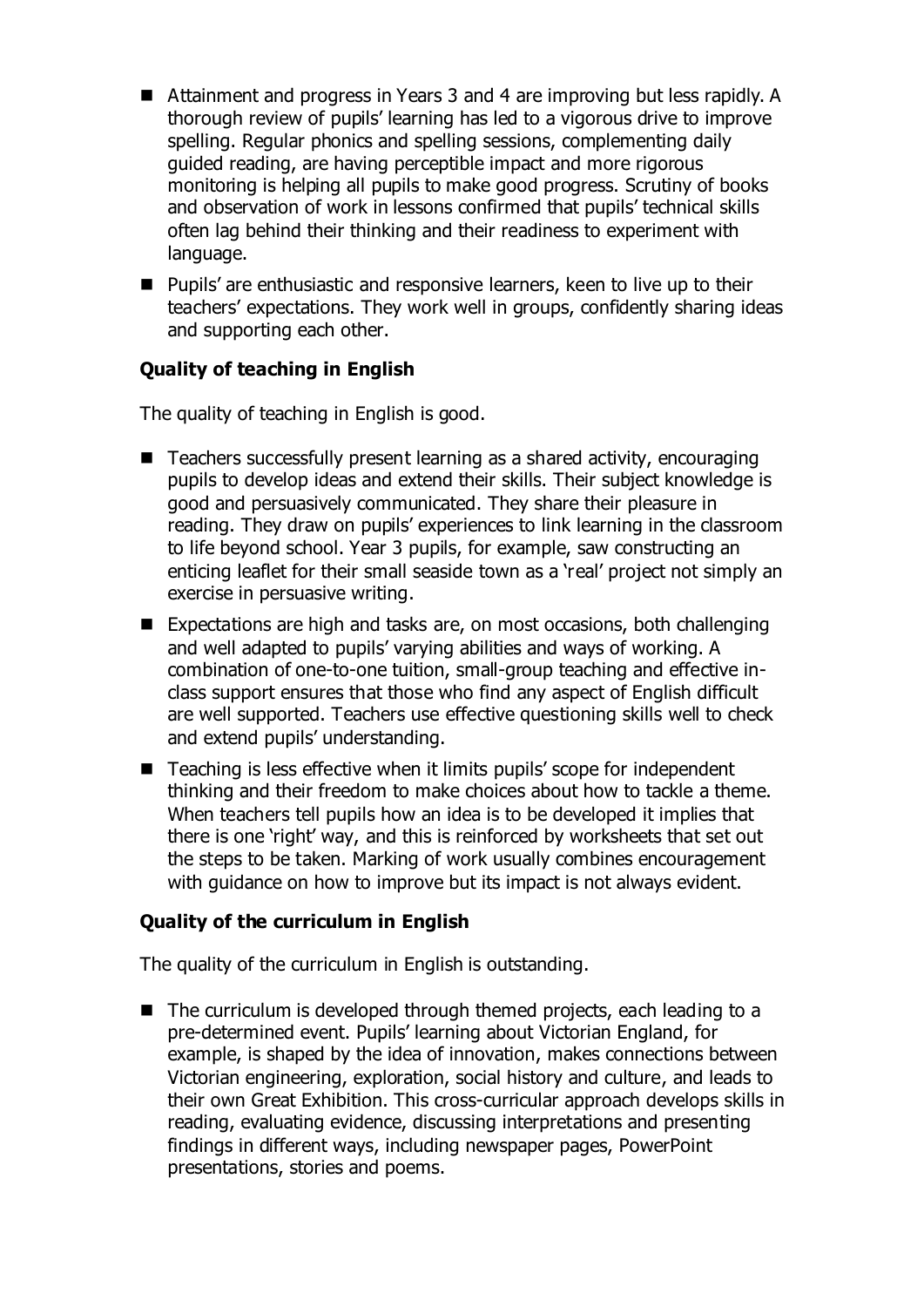- Attainment and progress in Years 3 and 4 are improving but less rapidly. A thorough review of pupils' learning has led to a vigorous drive to improve spelling. Regular phonics and spelling sessions, complementing daily guided reading, are having perceptible impact and more rigorous monitoring is helping all pupils to make good progress. Scrutiny of books and observation of work in lessons confirmed that pupils' technical skills often lag behind their thinking and their readiness to experiment with language.
- **Pupils'** are enthusiastic and responsive learners, keen to live up to their teachers' expectations. They work well in groups, confidently sharing ideas and supporting each other.

## **Quality of teaching in English**

The quality of teaching in English is good.

- Teachers successfully present learning as a shared activity, encouraging pupils to develop ideas and extend their skills. Their subject knowledge is good and persuasively communicated. They share their pleasure in reading. They draw on pupils' experiences to link learning in the classroom to life beyond school. Year 3 pupils, for example, saw constructing an enticing leaflet for their small seaside town as a 'real' project not simply an exercise in persuasive writing.
- Expectations are high and tasks are, on most occasions, both challenging and well adapted to pupils' varying abilities and ways of working. A combination of one-to-one tuition, small-group teaching and effective inclass support ensures that those who find any aspect of English difficult are well supported. Teachers use effective questioning skills well to check and extend pupils' understanding.
- Teaching is less effective when it limits pupils' scope for independent thinking and their freedom to make choices about how to tackle a theme. When teachers tell pupils how an idea is to be developed it implies that there is one 'right' way, and this is reinforced by worksheets that set out the steps to be taken. Marking of work usually combines encouragement with guidance on how to improve but its impact is not always evident.

### **Quality of the curriculum in English**

The quality of the curriculum in English is outstanding.

■ The curriculum is developed through themed projects, each leading to a pre-determined event. Pupils' learning about Victorian England, for example, is shaped by the idea of innovation, makes connections between Victorian engineering, exploration, social history and culture, and leads to their own Great Exhibition. This cross-curricular approach develops skills in reading, evaluating evidence, discussing interpretations and presenting findings in different ways, including newspaper pages, PowerPoint presentations, stories and poems.